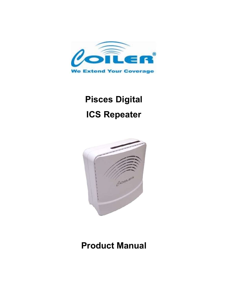

# **Pisces Digital ICS Repeater**



## **Product Manual**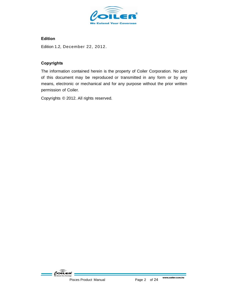

#### **Edition**

Edition 1.2, December 22, 2012.

#### **Copyrights**

The information contained herein is the property of Coiler Corporation. No part of this document may be reproduced or transmitted in any form or by any means, electronic or mechanical and for any purpose without the prior written permission of Coiler.

Copyrights © 2012. All rights reserved.

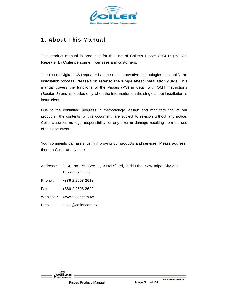

#### 1. About This Manual

This product manual is produced for the use of Coiler's Pisces (PS) Digital ICS Repeater by Coiler personnel, licensees and customers.

The Pisces Digital ICS Repeater has the most innovative technologies to simplify the installation process. **Please first refer to the single sheet installation guide**. This manual covers the functions of the Pisces (PS) in detail with OMT instructions (Section 8) and is needed only when the information on the single sheet installation is insufficient.

Due to the continued progress in methodology, design and manufacturing of our products, the contents of this document are subject to revision without any notice. Coiler assumes no legal responsibility for any error or damage resulting from the use of this document.

Your comments can assist us in improving our products and services. Please address them to Coiler at any time.

- Address : 8F-4, No. 75, Sec. 1, Xintai  $5<sup>th</sup>$  Rd, Xizhi Dist. New Taipei City 221, Taiwan (R.O.C.)
- Phone: +886 2 2698 2618
- Fax: +886 2 2698 2629
- Web site : www.coiler.com.tw
- Email : sales@coiler.com.tw

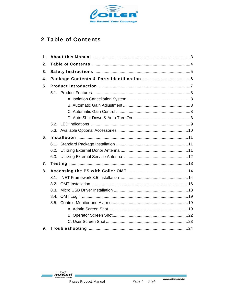

## 2. Table of Contents

| 1. |      |  |  |  |  |  |
|----|------|--|--|--|--|--|
| 2. |      |  |  |  |  |  |
| 3. |      |  |  |  |  |  |
| 4. |      |  |  |  |  |  |
| 5. |      |  |  |  |  |  |
|    |      |  |  |  |  |  |
|    |      |  |  |  |  |  |
|    |      |  |  |  |  |  |
|    |      |  |  |  |  |  |
|    |      |  |  |  |  |  |
|    |      |  |  |  |  |  |
|    |      |  |  |  |  |  |
| 6. |      |  |  |  |  |  |
|    | 6.1. |  |  |  |  |  |
|    |      |  |  |  |  |  |
|    |      |  |  |  |  |  |
| 7. |      |  |  |  |  |  |
| 8. |      |  |  |  |  |  |
|    | 81   |  |  |  |  |  |
|    | 8.2. |  |  |  |  |  |
|    | 8.3. |  |  |  |  |  |
|    | 8.4. |  |  |  |  |  |
|    |      |  |  |  |  |  |
|    |      |  |  |  |  |  |
|    |      |  |  |  |  |  |
|    |      |  |  |  |  |  |
| 9. |      |  |  |  |  |  |

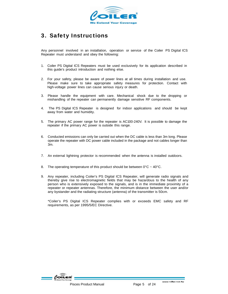

### 3. Safety Instructions

Any personnel involved in an installation, operation or service of the Coiler PS Digital ICS Repeater must understand and obey the following:

- 1. Coiler PS Digital ICS Repeaters must be used exclusively for its application described in this guide's product introduction and nothing else.
- 2. For your safety, please be aware of power lines at all times during installation and use. Please make sure to take appropriate safety measures for protection. Contact with high-voltage power lines can cause serious injury or death.
- 3. Please handle the equipment with care. Mechanical shock due to the dropping or mishandling of the repeater can permanently damage sensitive RF components.
- 4. The PS Digital ICS Repeater is designed for indoor applications and should be kept away from water and humidity.
- 5. The primary AC power range for the repeater is AC100-240V. It is possible to damage the repeater if the primary AC power is outside this range.
- 6. Conducted emissions can only be carried out when the DC cable is less than 3m long. Please operate the repeater with DC power cable included in the package and not cables longer than 3m.
- 7. An external lightning protector is recommended when the antenna is installed outdoors.
- 8. The operating temperature of this product should be between  $0^{\circ}C \sim 40^{\circ}C$ .
- 9. Any repeater, including Coiler's PS Digital ICS Repeater, will generate radio signals and thereby give rise to electromagnetic fields that may be hazardous to the health of any person who is extensively exposed to the signals, and is in the immediate proximity of a repeater or repeater antennas. Therefore, the minimum distance between the user and/or any bystander and the radiating structure (antenna) of the transmitter is 50cm.

\*Coiler's PS Digital ICS Repeater complies with or exceeds EMC safety and RF requirements, as per 1995/5/EC Directive.

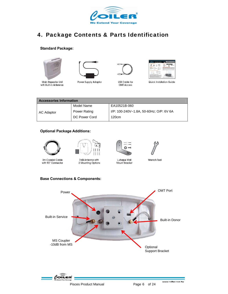

#### 4. Package Contents & Parts Identification

#### **Standard Package:**









Main Repeater Unit with Built-in Antennas

Power Supply Adaptor

**USB Cable for OMT Access** 

Quick Installation Guide

| <b>Accessories Information</b> |               |                                         |  |
|--------------------------------|---------------|-----------------------------------------|--|
|                                | Model Name    | EA10521B-060                            |  |
| AC Adaptor                     | Power Rating  | I/P: 100-240V~1.8A, 50-60Hz; O/P: 6V 6A |  |
|                                | DC Power Cord | 120cm                                   |  |

#### **Optional Package Additions:**



3m Coaxial Cable with 90° Connector



7dBi Antenna with 2 Mounting Options



**Mount Bracket** 



Wrench Tool

**Base Connections & Components:** 

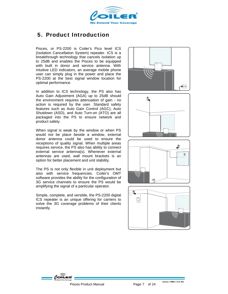

#### 5. Product Introduction

Pisces, or PS-2200 is Coiler's Pico level ICS (Isolation Cancellation System) repeater. ICS is a breakthrough technology that cancels isolation up to 25dB and enables the Pisces to be equipped with built in donor and service antenna. With intuitive LED indicators, an average mobile phone user can simply plug in the power and place the PS-2200 at the best signal window location for optimal performance.

In addition to ICS technology, the PS also has Auto Gain Adjustment (AGA) up to 25dB should the environment requires attenuation of gain - no action is required by the user. Standard safety features such as Auto Gain Control (AGC), Auto Shutdown (ASD), and Auto Turn-on (ATO) are all packaged into the PS to ensure network and product safety.

When signal is weak by the window or when PS would not be place beside a window, external donor antenna could be used to ensure the receptiono of quality signal. When multiple areas requires service, the PS also has ability to connect external service antenna(s). Whenever external antennas are used, wall mount brackets is an option for better placement and unit stability.

The PS is not only flexible in unit deployment but also with service frequencies. Coiler's OMT software provides the ability for the configuration of 3G service channels to ensure the PS would be amplifying the signal of a particular operator.

Simple, complete, and versitile, the PS-2200 digital ICS repeater is an unique offering for carriers to solve the 3G coverage problems of their clients instantly.









unuw coiler com tu

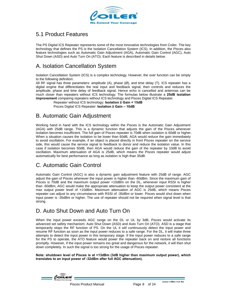

### 5.1 Product Features

The PS Digital ICS Repeater represents some of the most innovative technologies from Coiler. The key technology that defines the PS is the Isolation Cancellation System (ICS). In addition, the Pisces also feature technologies such as Automatic Gain Adjustment (AGA), Automatic Gain Control (AGC), Auto Shut Down (ASD) and Auto Turn On (ATO). Each feature is described in details below.

## A. Isolation Cancellation System

Isolation Cancellation System (ICS) is a complex technology. However, the over function can be simply to the following definition:

All RF signal has three parameters: amplitude (A), phase (Ø), and time delay (T). ICS repeater has a digital engine that differentiates the real input and feedback signal, then controls and reduces the amplitude, phase and time delay of feedback signal. Hence echo is cancelled and antennas can be much closer than repeaters without ICS technology. The formulas below illustrate a **25dB isolation improvement** comparing repeaters without ICS technology and Pisces Digital ICS Repeater.

Repeater without ICS technology: **Isolation ≥ Gain + 15dB** Pisces Digital ICS Repeater: **Isolation ≥ Gain – 10dB**

#### B. Automatic Gain Adjustment

Working hand in hand with the ICS technology within the Pisces is the Automatic Gain Adjustment (AGA) with 25dB range. This is a dynamic function that adjusts the gain of the Pisces whenever isolation becomes insufficient. The full gain of Pisces repeater is 70dB when isolation is 60dB or higher. When a situation causes the isolation to be lower than 60dB, AGA would reduce the gain immediately to avoid oscillation. For example, if an object is placed directly in front Pisces repeater on the service side, this would cause the service signal to feedback to donor and reduce the isolation value. In this case if isolation becomes 50dB, then AGA would reduce the gain of the repeater by 10dB to avoid oscillation. Maximum attenuation of AGA is 25dB, which means the Pisces repeater would adjust automatically for best performance as long as isolation is high than 35dB.

#### C. Automatic Gain Control

Automatic Gain Control (AGC) is also a dynamic gain adjustment feature with 25dB of range. AGC adjust the gain of Pisces whenever the input power is higher than -60dBm. Since the maximum gain of Pisces is 70dB and the maximum output power +10dBm on the DL, whenever input RSSI is higher than -60dBm, AGC would make the appropriate attenuation to keep the output power consistent at the max output power level of +10dBm. Maximum attenuation of AGC is 25dB, which means Pisces repeater can adjust to any circumstance with RSSI of -35dBm or lower. Pisces would shut down when input power is -35dBm or higher. The use of repeater should not be required when signal level is that strong.

#### D. Auto Shut Down and Auto Turn On

When the input power exceeds AGC range on the DL or UL by 3dB, Pisces would activate its advanced set safety mechanism: Auto Shut Down (ASD) and Auto Turn On (ATO). ASD is a stage that temporarily stops the RF function of PS. On the UL it will continuously detect the input power and resume RF function as soon as the input power reduces to a safe range. For the DL, it will make three attempts to detect the input power in this temporary stage. If the input power reduces to a safe range for the PS to operate, the ATO feature would power the repeater back on and restore all functions promptly. However, if the input power remains too great and dangerous for the network, it will then shut down completely. In such the signal is too strong for the usage of Pisces repeater.

**Note: shutdown level of Pisces is at +13dBm (3dB higher than maximum output power), which translates to an input power of -32dBm after full AGC attenuation).** 

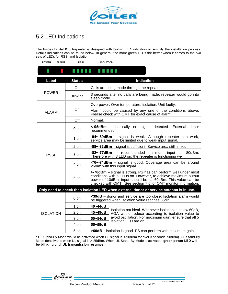

## 5.2 LED Indications

The Pisces Digital ICS Repeater is designed with built-in LED indicators to simplify the installation process. Details indications can be found below. In general, the more green LEDs the better when it comes to the two sets of LEDs for RSSI and Isolation.

| <b>POWER</b><br><b>ALARM</b>                                                            | <b>RSSI</b>     | <b>ISOLATION</b>                                                                                                  |                                                                                                                                                                                                                                                                   |  |  |
|-----------------------------------------------------------------------------------------|-----------------|-------------------------------------------------------------------------------------------------------------------|-------------------------------------------------------------------------------------------------------------------------------------------------------------------------------------------------------------------------------------------------------------------|--|--|
|                                                                                         |                 |                                                                                                                   |                                                                                                                                                                                                                                                                   |  |  |
| Label                                                                                   | <b>Status</b>   |                                                                                                                   | <b>Indication</b>                                                                                                                                                                                                                                                 |  |  |
|                                                                                         | On              |                                                                                                                   | Calls are being made through the repeater.                                                                                                                                                                                                                        |  |  |
| <b>POWER</b>                                                                            | <b>Blinking</b> |                                                                                                                   | 3 seconds after no calls are being made, repeater would go into<br>sleep mode.                                                                                                                                                                                    |  |  |
|                                                                                         |                 |                                                                                                                   | Overpower; Over temperature; Isolation; Unit faulty.                                                                                                                                                                                                              |  |  |
| <b>ALARM</b>                                                                            | On              | Alarm could be caused by any one of the conditions above.<br>Please check with OMT for exact cause of alarm.      |                                                                                                                                                                                                                                                                   |  |  |
|                                                                                         | Off             | Normal.                                                                                                           |                                                                                                                                                                                                                                                                   |  |  |
|                                                                                         | 0 on            |                                                                                                                   | <-95dBm - basically no signal detected. External donor<br>recommended.                                                                                                                                                                                            |  |  |
|                                                                                         | 1 on            | -94~-89dBm - signal is weak. Although repeater can work,<br>service area may be limited due to weak input signal. |                                                                                                                                                                                                                                                                   |  |  |
|                                                                                         | 2 on            |                                                                                                                   | -88~-83dBm - signal is sufficient. Service area still limited.                                                                                                                                                                                                    |  |  |
| <b>RSSI</b>                                                                             | 3 on            | -82~-77dBm - recommended minimum input is -80dBm.<br>Therefore with 3 LED on, the repeater is functioning well.   |                                                                                                                                                                                                                                                                   |  |  |
|                                                                                         | 4 on            | -76~-71dBm - signal is good. Coverage area can be around<br>$250m2$ with this input signal.                       |                                                                                                                                                                                                                                                                   |  |  |
|                                                                                         | $5 \text{ on}$  |                                                                                                                   | >-70dBm - signal is strong. PS has can perform well under most<br>conditions with 5 LEDs on. However, to achieve maximum output<br>power of 10dBm, input should be at -60dBm. This value can be<br>checked with OMT. See section 7.5 for OMT monitor information. |  |  |
| Only need to check then Isolation LED when external donor or service antenna is in use. |                 |                                                                                                                   |                                                                                                                                                                                                                                                                   |  |  |
|                                                                                         | $0$ on          |                                                                                                                   | <39dB - donor and service are too close. Isolation alarm would<br>be triggered when isolation value reaches 35dB.                                                                                                                                                 |  |  |
|                                                                                         | 1 on            | 40~44dB                                                                                                           |                                                                                                                                                                                                                                                                   |  |  |
| <b>ISOLATION</b>                                                                        | 2 on            | 45~49dB                                                                                                           | Isolation not ideal. Whenever isolation is below 60dB,<br>AGA would reduce according to isolation value to                                                                                                                                                        |  |  |
|                                                                                         | 3 on            | 50~54dB                                                                                                           | avoid oscillation. For maximum gain, ensure that all 5<br>isolation LED are on.                                                                                                                                                                                   |  |  |
|                                                                                         | 4 on            | 55~59dB                                                                                                           |                                                                                                                                                                                                                                                                   |  |  |
|                                                                                         | 5 on            |                                                                                                                   | >60dB - isolation is good. PS can perform with maximum gain.                                                                                                                                                                                                      |  |  |

**\*** UL Stand-By Mode would be activated when UL signal is <-90dBm for over 3 seconds. 90dBm). UL Stand-By Mode deactivates when UL signal is >-85dBm. When UL Stand-By Mode is activated, **green power LED will be blinking until UL transmission resumes**.

 $\ell$ oïlen'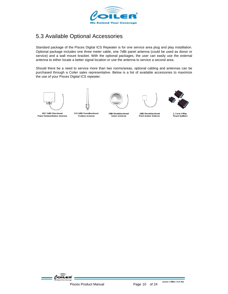

## 5.3 Available Optional Accessories

Standard package of the Pisces Digital ICS Repeater is for one service area plug and play installation. Optional package includes one three meter cable, one 7dBi panel antenna (could be used as donor or service) and a wall mount bracket. With the optional packages, the user can easily use the external antenna to either locate a better signal location or use the antenna to service a second area.

Should there be a need to service more than two rooms/areas, optional cabling and antennas can be purchased through a Coiler sales representative. Below is a list of available accessories to maximize the use of your Pisces Digital ICS repeater.











8521 9dBi Directional Panel Outdoor/Indoor Antenna

918 2dBi Omnidirectional **Outdoor Antenna** 

3dBi Omnidirectional **Indoor Antenna** 

2dBi Omnidirectional Patch Indoor Antenna

2, 3 and 4-Way **Power Splitters** 

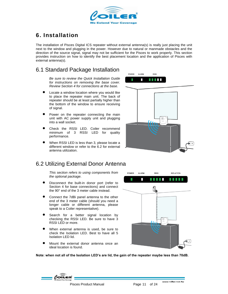

## 6. Installation

The installation of Pisces Digital ICS repeater without external antenna(s) is really just placing the unit next to the window and plugging in the power. However due to natural or manmade obstacles and the direction of the source signal, signal may not be sufficient for the Pisces to work properly. This section provides instruction on how to identify the best placement location and the application of Pisces with external antenna(s).

#### 6.1 Standard Package Installation

*Be sure to review the Quick Installation Guide for instructions on removing the base cover. Review Section 4 for connections at the base.*

- Locate a window location where you would like to place the repeater main unit. The back of repeater should be at least partially higher than the bottom of the window to ensure receiving of signal.
- Power on the repeater connecting the main unit with AC power supply unit and plugging into a wall socket.
- Check the RSSI LED. Coiler recommend minimum of 3 RSSI LED for quality performance.
- When RSSI LED is less than 3, please locate a different window or refer to the 6.2 for external antenna utilization.



#### 6.2 Utilizing External Donor Antenna

*This section refers to using components from the optional package.* 

- Disconnect the built-in donor port (refer to Section 4 for base connections) and connect the 90° end of the 3 meter cable instead.
- Connect the 7dBi panel antenna to the other end of the 3 meter cable (should you need a longer cable or different antenna, please speak to a Coiler representative).
- Search for a better signal location by checking the RSSI LED. Be sure to have 3 RSSI LED or more.
- When external antenna is used, be sure to check the Isolation LED. Best to have all 5 Isolation LED lid.
- Mount the external donor antenna once an ideal location is found.



**Note: when not all of the Isolation LED's are lid, the gain of the repeater maybe less than 70dB.** 

Pisces Product Manual Page 11 of 24

ununu coiler com tu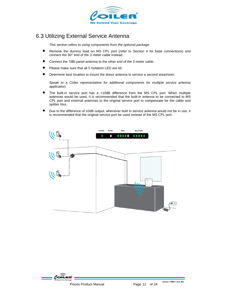

#### 6.3 Utilizing External Service Antenna

*This section refers to using components from the optional package.* 

- Remove the dummy load on MS CPL port (refer to Section 4 for base connections) and connect the 90° end of the 3 meter cable instead.
- Connect the 7dBi panel antenna to the other end of the 3 meter cable.
- Please make sure that all 5 Isolation LED are lid.
- Determine best location to mount the donor antenna to service a second area/room.

*Speak to a Coiler representative for additional components for multiple service antenna application.* 

- The built-in service port has a +10dB difference from the MS CPL port. When multiple antennas would be used, it is recommended that the built-in antenna to be connected to MS CPL port and external antennas to the original service port to compensate for the cable and splitter loss.
- Due to the difference of 10dB output, whenever built in service antenna would not be in use, it is recommended that the original service port be used instead of the MS CPL port.



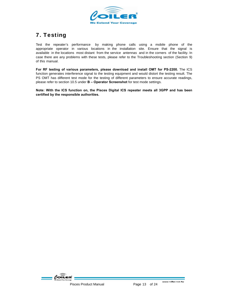

## 7. Testing

Test the repeater's performance by making phone calls using a mobile phone of the appropriate operator in various locations in the installation site. Ensure that the signal is available in the locations most distant from the service antennas and in the corners of the facility. In case there are any problems with these tests, please refer to the Troubleshooting section (Section 9) of this manual.

**For RF testing of various parameters, please download and install OMT for PS-2200.** The ICS function generates interference signal to the testing equipment and would distort the testing result. The PS OMT has different test mode for the testing of different parameters to ensure accurate readings, please refer to section 10.5 under **B – Operator Screenshot** for test mode settings.

**Note: With the ICS function on, the Pisces Digital ICS repeater meets all 3GPP and has been certified by the responsible authorities.** 

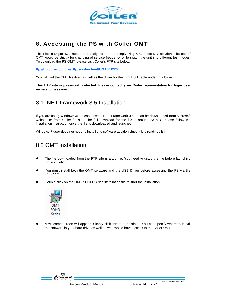

#### 8. Accessing the PS with Coiler OMT

The Pisces Digital ICS repeater is designed to be a simply Plug & Connect DIY solution. The use of OMT would be strictly for changing of service frequency or to switch the unit into different test modes. To download the PS OMT, please visit Coiler's FTP site below:

**ftp://ftp.coiler.com.tw/\_ftp\_/coilerclient/OMT/PS2200/** 

You will find the OMT file itself as well as the driver for the mini USB cable under this folder.

**This FTP site is password protected. Please contact your Coiler representative for login user name and password.** 

#### 8.1 .NET Framework 3.5 Installation

If you are using Windows XP, please install .NET Framework 3.5. It can be downloaded from Microsoft website or from Coiler ftp site. The full download for the file is around 231MB. Please follow the installation instruction once the file is downloaded and launched.

Windows 7 user does not need to install this software addition since it is already built in.

#### 8.2 OMT Installation

- The file downloaded from the FTP site is a zip file. You need to unzip the file before launching the installation.
- You must install both the OMT software and the USB Driver before accessing the PS via the USB port.
- Double click on the OMT SOHO Series installation file to start the installation.



A welcome screen will appear. Simply click "Next" to continue. You can specify where to install the software in your hard drive as well as who would have access to the Coiler OMT.

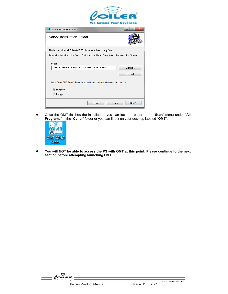

| Coiler OMT SOHO Series                                                                                       | x                   |
|--------------------------------------------------------------------------------------------------------------|---------------------|
| <b>Select Installation Folder</b>                                                                            |                     |
| The installer will install Coiler OMT SOHO Series to the following folder.                                   |                     |
| To install in this folder, click "Next". To install to a different folder, enter it below or click "Browse". |                     |
| Folder:<br>C:\Program Files\COILER\OMT\Coiler OMT SOHO Series\                                               | Browse<br>Disk Cost |
| Install Coiler OMT SOHO Series for yourself, or for anyone who uses this computer:                           |                     |
| C Everyone                                                                                                   |                     |
| Just me                                                                                                      |                     |
| Cancel<br>< Back                                                                                             | Next >              |

**•** Once the OMT finishes the installation, you can locate it either in the "Start" menu under "All **Programs**" in the "**Coiler**" folder or you can find it on your desktop labeled "**OMT**".



● You will NOT be able to access the PS with OMT at this point. Please continue to the next **section before attempting launching OMT.**

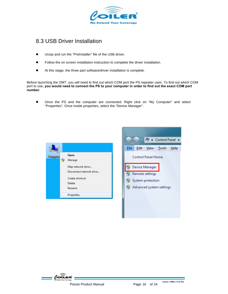

#### 8.3 USB Driver Installation

- $\bullet$  Unzip and run the "PreInstaller" file of the USB driver.
- Follow the on screen installation instruction to complete the driver installation.
- At this stage, the three part software/driver installation is complete.

Before launching the OMT, you will need to find out which COM port the PS repeater uses. To find out which COM port to use, **you would need to connect the PS to your computer in order to find out the exact COM port number.** 

Once the PS and the computer are connected. Right click on "My Computer" and select "Properties". Once inside properties, select the "Device Manager".





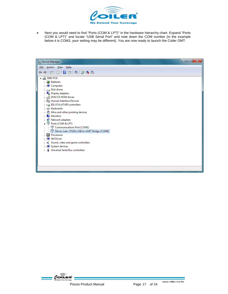

• Next you would need to find "Ports (COM & LPT)" in the hardware hierarchy chart. Expand "Ports (COM & LPT)" and locate "USB Serial Port" and note down the COM number (in the example below it is COM3, your setting may be different). You are now ready to launch the Coiler OMT.

| Eile<br>Action View Help<br>同国<br>⊜<br>⇔<br>⊿ . <u>. 4</u> 3000-PC6                                                                                                                                                                                                                                                                                                                                                                                                                              |
|--------------------------------------------------------------------------------------------------------------------------------------------------------------------------------------------------------------------------------------------------------------------------------------------------------------------------------------------------------------------------------------------------------------------------------------------------------------------------------------------------|
|                                                                                                                                                                                                                                                                                                                                                                                                                                                                                                  |
|                                                                                                                                                                                                                                                                                                                                                                                                                                                                                                  |
| <b>Batteries</b><br>Computer<br>Disk drives<br>Display adapters<br>DVD/CD-ROM drives<br><b>Um</b> Human Interface Devices<br><b>DE ATA/ATAPI controllers</b><br>-Conference Keyboards<br>Mice and other pointing devices<br><b>Monitors</b><br>Network adapters<br>Ports (COM & LPT)<br>Communications Port (COM1)<br>Silicon Labs CP210x USB to UART Bridge (COM6)<br><b>Processors</b><br>SM Driver<br>Sound, video and game controllers<br>System devices<br>Universal Serial Bus controllers |
|                                                                                                                                                                                                                                                                                                                                                                                                                                                                                                  |

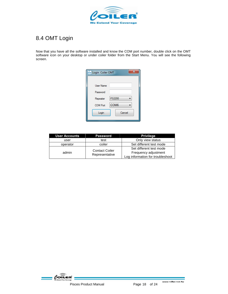

## 8.4 OMT Login

Now that you have all the software installed and know the COM port number, double click on the OMT software icon on your desktop or under coiler folder from the Start Menu. You will see the following screen.

| <b>Login Coiler OMT</b>             |  |
|-------------------------------------|--|
|                                     |  |
| <b>User Name</b>                    |  |
| Password                            |  |
| PS2200<br>Repeater                  |  |
| COM <sub>6</sub><br><b>COM Port</b> |  |
| Cancel<br>Login                     |  |
|                                     |  |

| <b>User Accounts</b> | <b>Password</b>                         | <b>Privilege</b>                                                                    |
|----------------------|-----------------------------------------|-------------------------------------------------------------------------------------|
| user                 | test                                    | Only view status                                                                    |
| operator             | coiler                                  | Set different test mode                                                             |
| admin                | <b>Contact Coiler</b><br>Representative | Set different test mode<br>Frequency adjustment<br>Log information for troubleshoot |

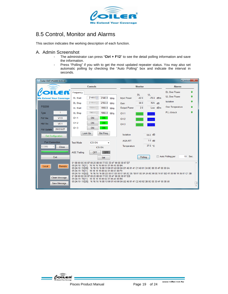

#### 8.5 Control, Monitor and Alarms

This section indicates the working description of each function.

#### A. Admin Screenshot

- The administrator can press "**Ctrl + F12**" to see the detail polling information and save the information.
- Press "Polling" if you with to get the most updated repeater status. You may also set automatic polling by checking the "Auto Polling" box and indicate the interval in seconds.

| $\begin{array}{c c c c c} \hline \multicolumn{1}{c }{-} & \multicolumn{1}{c }{\mathbf{X}} & \multicolumn{1}{c }{\mathbf{S}} & \multicolumn{1}{c }{\mathbf{X}} & \multicolumn{1}{c }{\mathbf{S}} & \multicolumn{1}{c }{\mathbf{S}} & \multicolumn{1}{c }{\mathbf{S}} & \multicolumn{1}{c }{\mathbf{S}} & \multicolumn{1}{c }{\mathbf{S}} & \multicolumn{1}{c }{\mathbf{S}} & \multicolumn{1}{c }{\mathbf{S}} & \multicolumn{1}{c }{\mathbf{S}} & \mult$<br>aur Coiler OMT-PS2200 [1.0.1.1] |                                                                                                                                                                                                                                                                                                                                                                                                                                                                                                                                                                                                                |                                                                        |                                              |  |
|-------------------------------------------------------------------------------------------------------------------------------------------------------------------------------------------------------------------------------------------------------------------------------------------------------------------------------------------------------------------------------------------------------------------------------------------------------------------------------------------|----------------------------------------------------------------------------------------------------------------------------------------------------------------------------------------------------------------------------------------------------------------------------------------------------------------------------------------------------------------------------------------------------------------------------------------------------------------------------------------------------------------------------------------------------------------------------------------------------------------|------------------------------------------------------------------------|----------------------------------------------|--|
|                                                                                                                                                                                                                                                                                                                                                                                                                                                                                           | <b>Controls</b>                                                                                                                                                                                                                                                                                                                                                                                                                                                                                                                                                                                                | <b>Monitor</b>                                                         | <b>Alarms</b>                                |  |
| <b>We Extend Your Coverage</b>                                                                                                                                                                                                                                                                                                                                                                                                                                                            | Frequency<br>2140.0<br>2140.0<br><b>DL Start</b><br><b>MHz</b>                                                                                                                                                                                                                                                                                                                                                                                                                                                                                                                                                 | <b>UL</b><br><b>DL</b><br>$-78.0$ dBm<br><b>Input Power</b><br>$-62.0$ | <b>DL Over Power</b><br><b>UL Over Power</b> |  |
| <b>PS2200</b>                                                                                                                                                                                                                                                                                                                                                                                                                                                                             | 2155.0<br>2155.0<br><b>DL</b> Stop<br><b>MHz</b><br>1950.0 $\frac{1}{x}$<br>1950.0<br><b>UL Start</b><br><b>MHz</b>                                                                                                                                                                                                                                                                                                                                                                                                                                                                                            | 64.0<br>$N/A$ dB<br>Gain<br>2.0<br><b>Output Power</b><br>Low dBm      | Isolation<br>Over Temperature                |  |
| $\mathbf{1}$<br><b>Type</b>                                                                                                                                                                                                                                                                                                                                                                                                                                                               | 1965.0<br>1965.0<br><b>UL Stop</b><br><b>MHz</b>                                                                                                                                                                                                                                                                                                                                                                                                                                                                                                                                                               | CH <sub>1</sub><br>Sleep<br>Work                                       | <b>PLL-Unlock</b>                            |  |
| V1.0<br>FW Ver.                                                                                                                                                                                                                                                                                                                                                                                                                                                                           | CH <sub>1</sub><br>ON<br>ON -                                                                                                                                                                                                                                                                                                                                                                                                                                                                                                                                                                                  | CH <sub>2</sub><br>Sleep<br>Work                                       |                                              |  |
| V <sub>0.1</sub><br>HW Ver.                                                                                                                                                                                                                                                                                                                                                                                                                                                               | ON -<br>CH <sub>2</sub><br>ON                                                                                                                                                                                                                                                                                                                                                                                                                                                                                                                                                                                  | CH <sub>3</sub><br>Sleep<br><b>Work</b>                                |                                              |  |
| 2012/5/27<br><b>FW Update</b><br><b>Get Configuration</b>                                                                                                                                                                                                                                                                                                                                                                                                                                 | CH <sub>3</sub><br>ON<br>ON -<br>Look Up<br>Set Freq                                                                                                                                                                                                                                                                                                                                                                                                                                                                                                                                                           | Isolation<br>59.0 dB                                                   |                                              |  |
| <b>Port Connection</b>                                                                                                                                                                                                                                                                                                                                                                                                                                                                    | <b>ICS ON</b><br><b>Test Mode</b>                                                                                                                                                                                                                                                                                                                                                                                                                                                                                                                                                                              | $1.0$ dB<br><b>AGA ATT</b>                                             |                                              |  |
| COM <sub>6</sub><br><b>Close</b>                                                                                                                                                                                                                                                                                                                                                                                                                                                          | <b>ICS ON</b>                                                                                                                                                                                                                                                                                                                                                                                                                                                                                                                                                                                                  | 37.0 °C<br>Temperature                                                 |                                              |  |
|                                                                                                                                                                                                                                                                                                                                                                                                                                                                                           | OFF<br><b>OFF</b><br><b>AGC Trailing</b>                                                                                                                                                                                                                                                                                                                                                                                                                                                                                                                                                                       |                                                                        |                                              |  |
| Exit                                                                                                                                                                                                                                                                                                                                                                                                                                                                                      | Set                                                                                                                                                                                                                                                                                                                                                                                                                                                                                                                                                                                                            | Polling                                                                | 10 Sec.<br>Auto Polling per                  |  |
| Remote<br>Local<br>Clean Message<br>Save Message                                                                                                                                                                                                                                                                                                                                                                                                                                          | 01 00 00 0C 00 07 00 25 00 00 77 B3 33 4F 00 00 00 07 EF<br>09:24:18 TX[11]: 16 16 16 16 00 04 01 00 40 00 BA<br>09:24:18 RX[26]: 16 16 16 16 00 13 00 01 40 00 0A B1 46 81 41 C1 40 01 3A 0C 00 33 4F 00 00 5A<br>09:24:19 TX[11]: 16 16 16 16 00 04 01 00 03 00 F9<br>09:24:19 RX[52]: 16 16 16 16 00 2D 00 01 03 00 01 0A 0C 05 1B 01 00 0A 3A 0C 00 00 14 81 B2 41 00 00 14 06 01 C1 3B<br>01 00 00 0C 00 07 00 25 00 00 77 B3 33 4F 00 00 00 07 EB<br>09:24:19 TX[11]: 16 16 16 16 00 04 01 00 40 00 BA<br>09:24:19 RX[26]: 16 16 16 16 00 13 00 01 40 00 0A B2 46 81 41 C2 40 02 3B 0C 00 33 4F 00 00 58 |                                                                        |                                              |  |

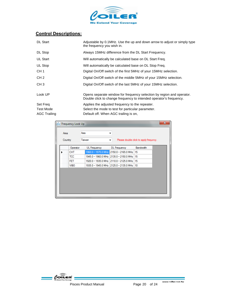

#### **Control Descriptions:**

| <b>DL Start</b>     | Adjustable by 0.1MHz. Use the up and down arrow to adjust or simply type<br>the frequency you wish in.                                      |
|---------------------|---------------------------------------------------------------------------------------------------------------------------------------------|
| DL Stop             | Always 15MHz difference from the DL Start Frequency.                                                                                        |
| UL Start            | Will automatically be calculated base on DL Start Freq.                                                                                     |
| UL Stop             | Will automatically be calculated base on DL Stop Freg.                                                                                      |
| CH <sub>1</sub>     | Digital On/Off switch of the first 5MHz of your 15MHz selection.                                                                            |
| CH <sub>2</sub>     | Digital On/Off switch of the middle 5MHz of your 15MHz selection.                                                                           |
| CH <sub>3</sub>     | Digital On/Off switch of the last 5MHz of your 15MHz selection.                                                                             |
| Look UP             | Opens separate window for frequency selection by region and operator.<br>Double click to change frequency to intended operator's frequency. |
| Set Freq            | Applies the adjusted frequency to the repeater.                                                                                             |
| <b>Test Mode</b>    | Select the mode to test for particular parameter.                                                                                           |
| <b>AGC Trailing</b> | Default off. When AGC trailing is on,                                                                                                       |

| $\mathbf{x}$<br>bur Frequency Look Up |             |                     |                                            |                                        |  |
|---------------------------------------|-------------|---------------------|--------------------------------------------|----------------------------------------|--|
| Area                                  |             | Asia                | ▼                                          |                                        |  |
|                                       | Country     | Taiwan              |                                            | Please double click to apply frequncy. |  |
|                                       | Operator    | <b>UL</b> Frequency | <b>DL</b> Frequency                        | Bandwidth                              |  |
|                                       | CHT         |                     | 1960.0 - 1975.0 MHz 2150.0 - 2165.0 MHz    | 15                                     |  |
|                                       | TCC         |                     | 1945.0 - 1960.0 MHz 2135.0 - 2150.0 MHz    | 15                                     |  |
|                                       | <b>FET</b>  |                     | 1920.0 - 1935.0 MHz 2110.0 - 2125.0 MHz    | 15                                     |  |
|                                       | <b>VIBO</b> |                     | 1935.0 - 1945.0 MHz 2125.0 - 2135.0 MHz 10 |                                        |  |
|                                       |             |                     |                                            |                                        |  |
|                                       |             |                     |                                            |                                        |  |
|                                       |             |                     |                                            |                                        |  |
|                                       |             |                     |                                            |                                        |  |
|                                       |             |                     |                                            |                                        |  |
|                                       |             |                     |                                            |                                        |  |

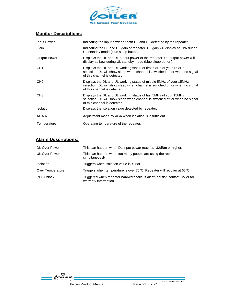

#### **Monitor Descriptions:**

| Input Power         | Indicating the input power of both DL and UL detected by the repeater.                                                                                                             |
|---------------------|------------------------------------------------------------------------------------------------------------------------------------------------------------------------------------|
| Gain                | Indicating the DL and UL gain of repeater. UL gain will display as N/A during<br>UL standby mode (blue sleep button).                                                              |
| <b>Output Power</b> | Displays the DL and UL output power of the repeater. UL output power will<br>display as Low during UL standby mode (blue sleep button).                                            |
| CH <sub>1</sub>     | Displays the DL and UL working status of first 5MHz of your 15MHz<br>selection. DL will show sleep when channel is switched off or when no signal<br>of this channel is detected.  |
| CH <sub>2</sub>     | Displays the DL and UL working status of middle 5MHz of your 15MHz<br>selection. DL will show sleep when channel is switched off or when no signal<br>of this channel is detected. |
| CH <sub>3</sub>     | Displays the DL and UL working status of last 5MHz of your 15MHz<br>selection. DL will show sleep when channel is switched off or when no signal<br>of this channel is detected.   |
| <b>Isolation</b>    | Displays the isolation value detected by repeater.                                                                                                                                 |
| AGA ATT             | Adjustment made by AGA when isolation is insufficient.                                                                                                                             |
| Temperature         | Operating temperature of the repeater.                                                                                                                                             |

#### **Alarm Descriptions:**

| <b>DL Over Power</b> | This can happen when DL input power reaches -32dBm or higher.                                         |
|----------------------|-------------------------------------------------------------------------------------------------------|
| <b>UL Over Power</b> | This can happen when too many people are using the repeat<br>simultaneously.                          |
| <b>Isolation</b>     | Triggers when isolation value is <35dB.                                                               |
| Over Temperature     | Triggers when temperature is over $75^{\circ}$ C. Repeater will recover at 65 $^{\circ}$ C.           |
| PLL-Unlock           | Triggered when repeater hardware fails. If alarm persist, contact Coiler for<br>warranty information. |

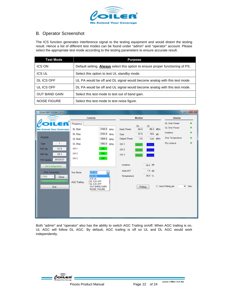

#### B. Operator Screenshot

The ICS function generates interference signal to the testing equipment and would distort the testing result. Hence a list of different test modes can be found under "admin" and "operator" account. Please select the appropriate test mode according to the testing parameters to ensure accurate result.

| <b>Test Mode</b>     | <b>Purpose</b>                                                                        |
|----------------------|---------------------------------------------------------------------------------------|
| <b>ICS ON</b>        | Default setting. <b>Always</b> select this option to ensure proper functioning of PS. |
| <b>ICS UL</b>        | Select this option to test UL standby mode.                                           |
| DL ICS OFF           | UL PA would be off and DL signal would become analog with this test mode.             |
| UL ICS OFF           | DL PA would be off and UL signal would become analog with this test mode.             |
| <b>OUT BAND GAIN</b> | Select this test mode to test out of band gain.                                       |
| <b>NOISE FIGURE</b>  | Select this test mode to test noise figure.                                           |



Both "admin" and "operator" also has the ability to switch AGC Trailing on/off. When AGC trailing is on, UL AGC will follow DL AGC. By default, AGC trailing is off so UL and DL AGC would work independently.

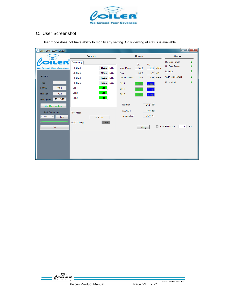

#### C. User Screenshot

User mode does not have ability to modify any setting. Only viewing of status is available.

| <b>Mar</b> Coiler OMT-PS2200 [1.0.2.2]                                          |                                    |                                |                                    |                                   |                     | أقأد                                         | $\mathbf{x}$           |
|---------------------------------------------------------------------------------|------------------------------------|--------------------------------|------------------------------------|-----------------------------------|---------------------|----------------------------------------------|------------------------|
|                                                                                 | <b>Controls</b>                    |                                | <b>Monitor</b>                     |                                   |                     | <b>Alarms</b>                                |                        |
| $\mathbf{R}^2$<br>2<br><b>We Extend Your Coverage</b>                           | Frequency<br><b>DL Start</b>       | 2125.0<br><b>MHz</b>           | <b>Input Power</b>                 | <b>DL</b><br><b>UL</b><br>$-66.0$ | $-94.0$ dBm         | <b>DL Over Power</b><br><b>UL Over Power</b> | $\bullet$<br>●         |
| <b>PS2200</b>                                                                   | <b>DL Stop</b><br><b>UL Start</b>  | 2140.0<br>MHz<br>1935.0<br>MHz | Gain<br>Output Power               | 56.0<br>$-10.0$                   | $N/A$ dB<br>Low dBm | Isolation<br>Over Temperature                | $\bullet$<br>$\bullet$ |
| 1<br><b>Type</b><br>V1.1<br>FW Ver.                                             | <b>UL Stop</b><br>CH <sub>1</sub>  | 1950.0<br>MHz<br>ON -          | CH <sub>1</sub><br>CH <sub>2</sub> | Sleep<br>Work<br>Sleep<br>Work    |                     | PLL-Unlock                                   | $\bullet$              |
| HW Ver.<br>V <sub>0.1</sub><br>2012/5/27<br>FW Update                           | CH <sub>2</sub><br>CH <sub>3</sub> | ON -<br>ON -                   | CH <sub>3</sub>                    | Sleep<br>Work                     |                     |                                              |                        |
| <b>Get Configuration</b>                                                        |                                    |                                | Isolation                          | 45.0 dB                           |                     |                                              |                        |
| <b>Port Connection</b><br>COM <sub>6</sub><br>Close<br>$\overline{\phantom{a}}$ | <b>Test Mode</b>                   | <b>ICS ON</b>                  | <b>AGA ATT</b><br>Temperature      | 15.0 dB<br>36.0 °C                |                     |                                              |                        |
| Exit                                                                            | <b>AGC Trailing</b>                | OFF                            |                                    | Polling                           |                     | Auto Polling per                             | 10 Sec.                |
|                                                                                 |                                    |                                |                                    |                                   |                     |                                              |                        |
|                                                                                 |                                    |                                |                                    |                                   |                     |                                              |                        |
|                                                                                 |                                    |                                |                                    |                                   |                     |                                              |                        |